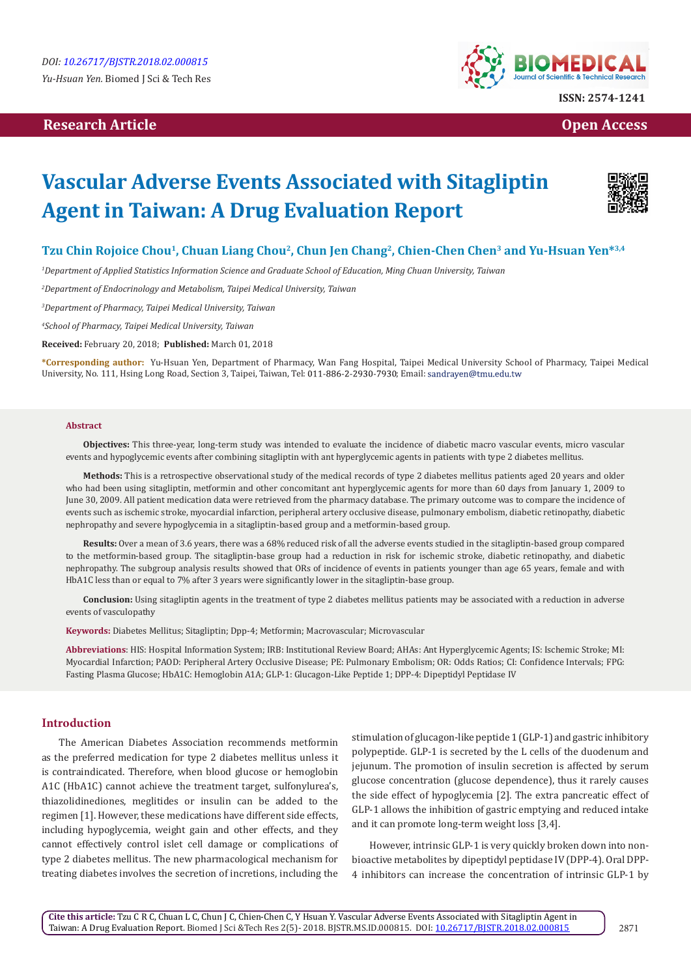# **Research Article Open Access Contract Article Open Access Open Access Open Access**



# **Vascular Adverse Events Associated with Sitagliptin Agent in Taiwan: A Drug Evaluation Report**



# **Tzu Chin Rojoice Chou1, Chuan Liang Chou2, Chun Jen Chang2, Chien-Chen Chen3 and Yu-Hsuan Yen\*3,4**

*1 Department of Applied Statistics Information Science and Graduate School of Education, Ming Chuan University, Taiwan*

*2 Department of Endocrinology and Metabolism, Taipei Medical University, Taiwan*

*3 Department of Pharmacy, Taipei Medical University, Taiwan*

*4 School of Pharmacy, Taipei Medical University, Taiwan*

**Received:** February 20, 2018; **Published:** March 01, 2018

**\*Corresponding author:** Yu-Hsuan Yen, Department of Pharmacy, Wan Fang Hospital, Taipei Medical University School of Pharmacy, Taipei Medical University, No. 111, Hsing Long Road, Section 3, Taipei, Taiwan, Tel: 011-886-2-2930-7930; Email: sandrayen@tmu.edu.tw

#### **Abstract**

**Objectives:** This three-year, long-term study was intended to evaluate the incidence of diabetic macro vascular events, micro vascular events and hypoglycemic events after combining sitagliptin with ant hyperglycemic agents in patients with type 2 diabetes mellitus.

**Methods:** This is a retrospective observational study of the medical records of type 2 diabetes mellitus patients aged 20 years and older who had been using sitagliptin, metformin and other concomitant ant hyperglycemic agents for more than 60 days from January 1, 2009 to June 30, 2009. All patient medication data were retrieved from the pharmacy database. The primary outcome was to compare the incidence of events such as ischemic stroke, myocardial infarction, peripheral artery occlusive disease, pulmonary embolism, diabetic retinopathy, diabetic nephropathy and severe hypoglycemia in a sitagliptin-based group and a metformin-based group.

**Results:** Over a mean of 3.6 years, there was a 68% reduced risk of all the adverse events studied in the sitagliptin-based group compared to the metformin-based group. The sitagliptin-base group had a reduction in risk for ischemic stroke, diabetic retinopathy, and diabetic nephropathy. The subgroup analysis results showed that ORs of incidence of events in patients younger than age 65 years, female and with HbA1C less than or equal to 7% after 3 years were significantly lower in the sitagliptin-base group.

**Conclusion:** Using sitagliptin agents in the treatment of type 2 diabetes mellitus patients may be associated with a reduction in adverse events of vasculopathy

**Keywords:** Diabetes Mellitus; Sitagliptin; Dpp-4; Metformin; Macrovascular; Microvascular

**Abbreviations**: HIS: Hospital Information System; IRB: Institutional Review Board; AHAs: Ant Hyperglycemic Agents; IS: Ischemic Stroke; MI: Myocardial Infarction; PAOD: Peripheral Artery Occlusive Disease; PE: Pulmonary Embolism; OR: Odds Ratios; CI: Confidence Intervals; FPG: Fasting Plasma Glucose; HbA1C: Hemoglobin A1A; GLP-1: Glucagon-Like Peptide 1; DPP-4: Dipeptidyl Peptidase IV

## **Introduction**

The American Diabetes Association recommends metformin as the preferred medication for type 2 diabetes mellitus unless it is contraindicated. Therefore, when blood glucose or hemoglobin A1C (HbA1C) cannot achieve the treatment target, sulfonylurea's, thiazolidinediones, meglitides or insulin can be added to the regimen [1]. However, these medications have different side effects, including hypoglycemia, weight gain and other effects, and they cannot effectively control islet cell damage or complications of type 2 diabetes mellitus. The new pharmacological mechanism for treating diabetes involves the secretion of incretions, including the

stimulation of glucagon-like peptide 1 (GLP-1) and gastric inhibitory polypeptide. GLP-1 is secreted by the L cells of the duodenum and jejunum. The promotion of insulin secretion is affected by serum glucose concentration (glucose dependence), thus it rarely causes the side effect of hypoglycemia [2]. The extra pancreatic effect of GLP-1 allows the inhibition of gastric emptying and reduced intake and it can promote long-term weight loss [3,4].

However, intrinsic GLP-1 is very quickly broken down into nonbioactive metabolites by dipeptidyl peptidase IV (DPP-4). Oral DPP-4 inhibitors can increase the concentration of intrinsic GLP-1 by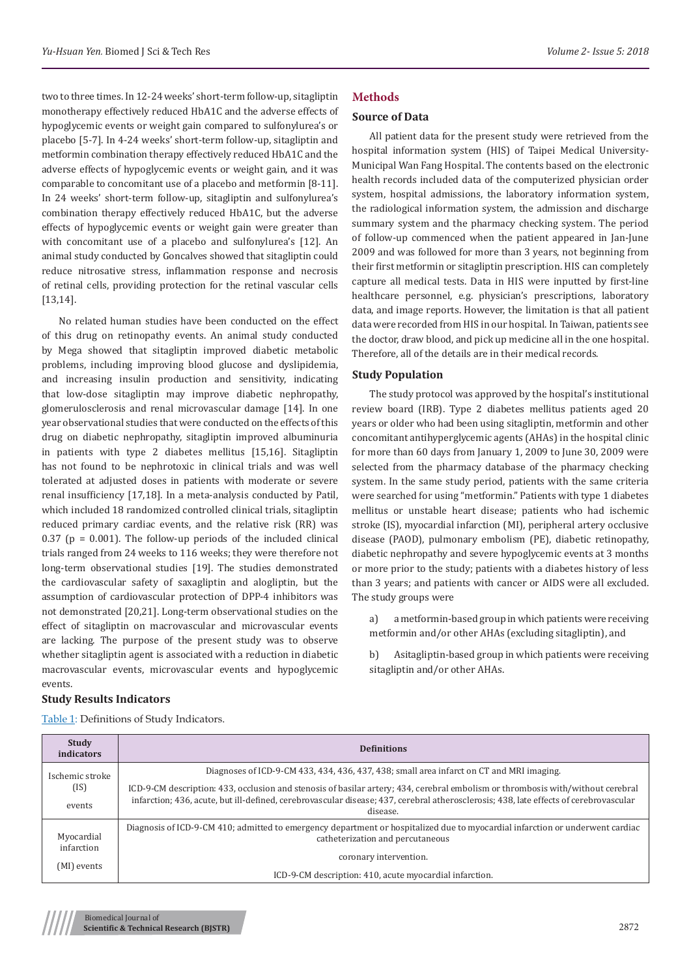two to three times. In 12-24 weeks' short-term follow-up, sitagliptin monotherapy effectively reduced HbA1C and the adverse effects of hypoglycemic events or weight gain compared to sulfonylurea's or placebo [5-7]. In 4-24 weeks' short-term follow-up, sitagliptin and metformin combination therapy effectively reduced HbA1C and the adverse effects of hypoglycemic events or weight gain, and it was comparable to concomitant use of a placebo and metformin [8-11]. In 24 weeks' short-term follow-up, sitagliptin and sulfonylurea's combination therapy effectively reduced HbA1C, but the adverse effects of hypoglycemic events or weight gain were greater than with concomitant use of a placebo and sulfonylurea's [12]. An animal study conducted by Goncalves showed that sitagliptin could reduce nitrosative stress, inflammation response and necrosis of retinal cells, providing protection for the retinal vascular cells [13,14].

No related human studies have been conducted on the effect of this drug on retinopathy events. An animal study conducted by Mega showed that sitagliptin improved diabetic metabolic problems, including improving blood glucose and dyslipidemia, and increasing insulin production and sensitivity, indicating that low-dose sitagliptin may improve diabetic nephropathy, glomerulosclerosis and renal microvascular damage [14]. In one year observational studies that were conducted on the effects of this drug on diabetic nephropathy, sitagliptin improved albuminuria in patients with type 2 diabetes mellitus [15,16]. Sitagliptin has not found to be nephrotoxic in clinical trials and was well tolerated at adjusted doses in patients with moderate or severe renal insufficiency [17,18]. In a meta-analysis conducted by Patil, which included 18 randomized controlled clinical trials, sitagliptin reduced primary cardiac events, and the relative risk (RR) was 0.37 ( $p = 0.001$ ). The follow-up periods of the included clinical trials ranged from 24 weeks to 116 weeks; they were therefore not long-term observational studies [19]. The studies demonstrated the cardiovascular safety of saxagliptin and alogliptin, but the assumption of cardiovascular protection of DPP-4 inhibitors was not demonstrated [20,21]. Long-term observational studies on the effect of sitagliptin on macrovascular and microvascular events are lacking. The purpose of the present study was to observe whether sitagliptin agent is associated with a reduction in diabetic macrovascular events, microvascular events and hypoglycemic events.

## **Study Results Indicators**

| <b>Study</b><br>indicators | <b>Definitions</b>                                                                                                                                                |  |  |  |
|----------------------------|-------------------------------------------------------------------------------------------------------------------------------------------------------------------|--|--|--|
| Ischemic stroke<br>(IS)    | Diagnoses of ICD-9-CM 433, 434, 436, 437, 438; small area infarct on CT and MRI imaging.                                                                          |  |  |  |
|                            | ICD-9-CM description: 433, occlusion and stenosis of basilar artery; 434, cerebral embolism or thrombosis with/without cerebral                                   |  |  |  |
| events                     | infarction; 436, acute, but ill-defined, cerebrovascular disease; 437, cerebral atherosclerosis; 438, late effects of cerebrovascular<br>disease.                 |  |  |  |
| Myocardial                 | Diagnosis of ICD-9-CM 410; admitted to emergency department or hospitalized due to myocardial infarction or underwent cardiac<br>catheterization and percutaneous |  |  |  |
| infarction<br>(MI) events  | coronary intervention.                                                                                                                                            |  |  |  |
|                            | ICD-9-CM description: 410, acute myocardial infarction.                                                                                                           |  |  |  |

Table 1: Definitions of Study Indicators.

## **Methods**

#### **Source of Data**

All patient data for the present study were retrieved from the hospital information system (HIS) of Taipei Medical University-Municipal Wan Fang Hospital. The contents based on the electronic health records included data of the computerized physician order system, hospital admissions, the laboratory information system, the radiological information system, the admission and discharge summary system and the pharmacy checking system. The period of follow-up commenced when the patient appeared in Jan-June 2009 and was followed for more than 3 years, not beginning from their first metformin or sitagliptin prescription. HIS can completely capture all medical tests. Data in HIS were inputted by first-line healthcare personnel, e.g. physician's prescriptions, laboratory data, and image reports. However, the limitation is that all patient data were recorded from HIS in our hospital. In Taiwan, patients see the doctor, draw blood, and pick up medicine all in the one hospital. Therefore, all of the details are in their medical records.

### **Study Population**

The study protocol was approved by the hospital's institutional review board (IRB). Type 2 diabetes mellitus patients aged 20 years or older who had been using sitagliptin, metformin and other concomitant antihyperglycemic agents (AHAs) in the hospital clinic for more than 60 days from January 1, 2009 to June 30, 2009 were selected from the pharmacy database of the pharmacy checking system. In the same study period, patients with the same criteria were searched for using "metformin." Patients with type 1 diabetes mellitus or unstable heart disease; patients who had ischemic stroke (IS), myocardial infarction (MI), peripheral artery occlusive disease (PAOD), pulmonary embolism (PE), diabetic retinopathy, diabetic nephropathy and severe hypoglycemic events at 3 months or more prior to the study; patients with a diabetes history of less than 3 years; and patients with cancer or AIDS were all excluded. The study groups were

a) a metformin-based group in which patients were receiving metformin and/or other AHAs (excluding sitagliptin), and

b) Asitagliptin-based group in which patients were receiving sitagliptin and/or other AHAs.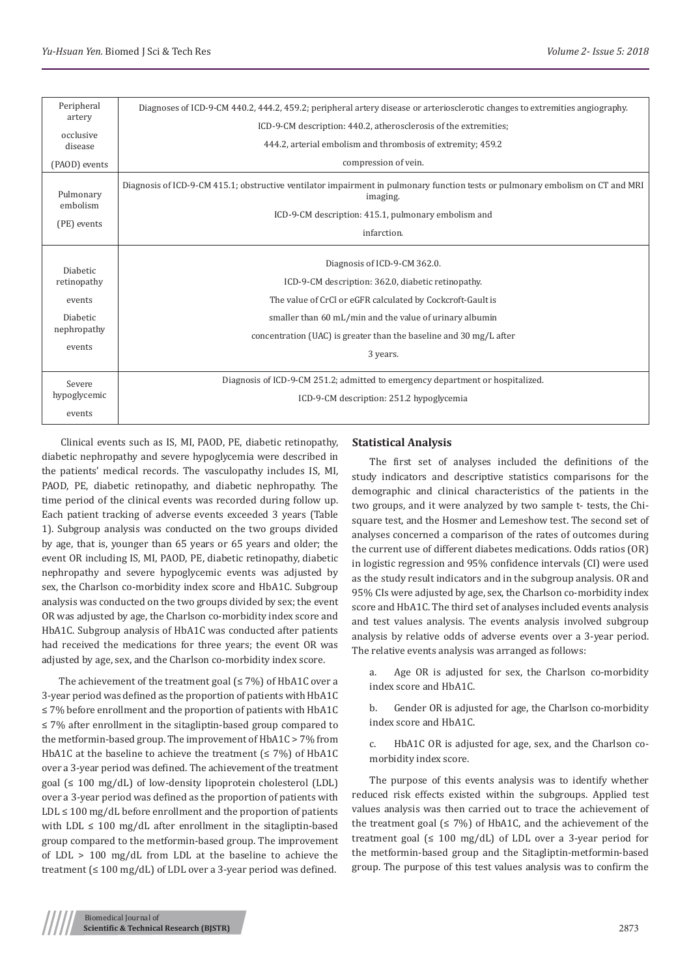| Peripheral<br>artery                                                                 | Diagnoses of ICD-9-CM 440.2, 444.2, 459.2; peripheral artery disease or arteriosclerotic changes to extremities angiography.                                                                                                                                                                  |
|--------------------------------------------------------------------------------------|-----------------------------------------------------------------------------------------------------------------------------------------------------------------------------------------------------------------------------------------------------------------------------------------------|
| occlusive                                                                            | ICD-9-CM description: 440.2, atherosclerosis of the extremities;                                                                                                                                                                                                                              |
| disease                                                                              | 444.2, arterial embolism and thrombosis of extremity; 459.2                                                                                                                                                                                                                                   |
| (PAOD) events                                                                        | compression of vein.                                                                                                                                                                                                                                                                          |
| Pulmonary<br>embolism<br>(PE) events                                                 | Diagnosis of ICD-9-CM 415.1; obstructive ventilator impairment in pulmonary function tests or pulmonary embolism on CT and MRI<br>imaging.                                                                                                                                                    |
|                                                                                      | ICD-9-CM description: 415.1, pulmonary embolism and                                                                                                                                                                                                                                           |
|                                                                                      | infarction.                                                                                                                                                                                                                                                                                   |
| <b>Diabetic</b><br>retinopathy<br>events<br><b>Diabetic</b><br>nephropathy<br>events | Diagnosis of ICD-9-CM 362.0.<br>ICD-9-CM description: 362.0, diabetic retinopathy.<br>The value of CrCl or eGFR calculated by Cockcroft-Gault is<br>smaller than 60 mL/min and the value of urinary albumin<br>concentration (UAC) is greater than the baseline and 30 mg/L after<br>3 years. |
| Severe<br>hypoglycemic                                                               | Diagnosis of ICD-9-CM 251.2; admitted to emergency department or hospitalized.<br>ICD-9-CM description: 251.2 hypoglycemia                                                                                                                                                                    |
| events                                                                               |                                                                                                                                                                                                                                                                                               |

 Clinical events such as IS, MI, PAOD, PE, diabetic retinopathy, diabetic nephropathy and severe hypoglycemia were described in the patients' medical records. The vasculopathy includes IS, MI, PAOD, PE, diabetic retinopathy, and diabetic nephropathy. The time period of the clinical events was recorded during follow up. Each patient tracking of adverse events exceeded 3 years (Table 1). Subgroup analysis was conducted on the two groups divided by age, that is, younger than 65 years or 65 years and older; the event OR including IS, MI, PAOD, PE, diabetic retinopathy, diabetic nephropathy and severe hypoglycemic events was adjusted by sex, the Charlson co-morbidity index score and HbA1C. Subgroup analysis was conducted on the two groups divided by sex; the event OR was adjusted by age, the Charlson co-morbidity index score and HbA1C. Subgroup analysis of HbA1C was conducted after patients had received the medications for three years; the event OR was adjusted by age, sex, and the Charlson co-morbidity index score.

The achievement of the treatment goal  $(≤ 7%)$  of HbA1C over a 3-year period was defined as the proportion of patients with HbA1C ≤ 7% before enrollment and the proportion of patients with HbA1C ≤ 7% after enrollment in the sitagliptin-based group compared to the metformin-based group. The improvement of HbA1C > 7% from HbA1C at the baseline to achieve the treatment  $( \leq 7\%)$  of HbA1C over a 3-year period was defined. The achievement of the treatment goal (≤ 100 mg/dL) of low-density lipoprotein cholesterol (LDL) over a 3-year period was defined as the proportion of patients with  $LDL \le 100$  mg/dL before enrollment and the proportion of patients with LDL  $\leq 100$  mg/dL after enrollment in the sitagliptin-based group compared to the metformin-based group. The improvement of LDL > 100 mg/dL from LDL at the baseline to achieve the treatment  $( \leq 100 \text{ mg/dL} )$  of LDL over a 3-year period was defined.

#### **Statistical Analysis**

The first set of analyses included the definitions of the study indicators and descriptive statistics comparisons for the demographic and clinical characteristics of the patients in the two groups, and it were analyzed by two sample t- tests, the Chisquare test, and the Hosmer and Lemeshow test. The second set of analyses concerned a comparison of the rates of outcomes during the current use of different diabetes medications. Odds ratios (OR) in logistic regression and 95% confidence intervals (CI) were used as the study result indicators and in the subgroup analysis. OR and 95% CIs were adjusted by age, sex, the Charlson co-morbidity index score and HbA1C. The third set of analyses included events analysis and test values analysis. The events analysis involved subgroup analysis by relative odds of adverse events over a 3-year period. The relative events analysis was arranged as follows:

a. Age OR is adjusted for sex, the Charlson co-morbidity index score and HbA1C.

b. Gender OR is adjusted for age, the Charlson co-morbidity index score and HbA1C.

c. HbA1C OR is adjusted for age, sex, and the Charlson comorbidity index score.

The purpose of this events analysis was to identify whether reduced risk effects existed within the subgroups. Applied test values analysis was then carried out to trace the achievement of the treatment goal ( $\leq$  7%) of HbA1C, and the achievement of the treatment goal ( $\leq 100$  mg/dL) of LDL over a 3-year period for the metformin-based group and the Sitagliptin-metformin-based group. The purpose of this test values analysis was to confirm the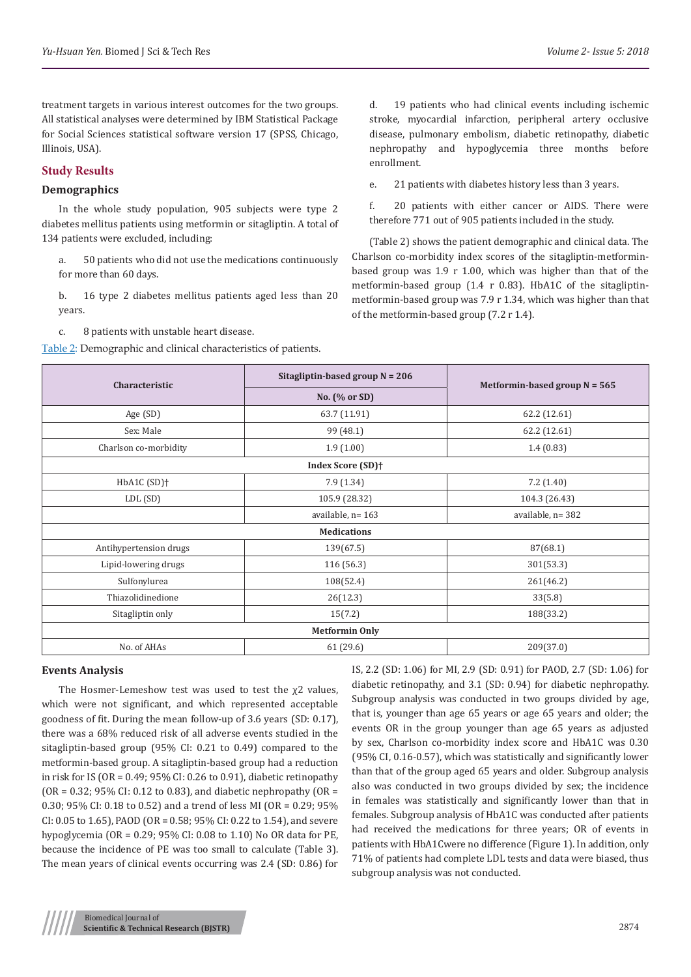treatment targets in various interest outcomes for the two groups. All statistical analyses were determined by IBM Statistical Package for Social Sciences statistical software version 17 (SPSS, Chicago, Illinois, USA).

## **Study Results**

## **Demographics**

In the whole study population, 905 subjects were type 2 diabetes mellitus patients using metformin or sitagliptin. A total of 134 patients were excluded, including:

a. 50 patients who did not use the medications continuously for more than 60 days.

b. 16 type 2 diabetes mellitus patients aged less than 20 years.

c. 8 patients with unstable heart disease.

Table 2: Demographic and clinical characteristics of patients.

d. 19 patients who had clinical events including ischemic stroke, myocardial infarction, peripheral artery occlusive disease, pulmonary embolism, diabetic retinopathy, diabetic nephropathy and hypoglycemia three months before enrollment.

e. 21 patients with diabetes history less than 3 years.

f. 20 patients with either cancer or AIDS. There were therefore 771 out of 905 patients included in the study.

(Table 2) shows the patient demographic and clinical data. The Charlson co-morbidity index scores of the sitagliptin-metforminbased group was 1.9 r 1.00, which was higher than that of the metformin-based group (1.4 r 0.83). HbA1C of the sitagliptinmetformin-based group was 7.9 r 1.34, which was higher than that of the metformin-based group (7.2 r 1.4).

| Characteristic                | Sitagliptin-based group $N = 206$ | Metformin-based group $N = 565$ |  |  |  |
|-------------------------------|-----------------------------------|---------------------------------|--|--|--|
|                               | No. (% or SD)                     |                                 |  |  |  |
| Age (SD)                      | 63.7 (11.91)                      | 62.2 (12.61)                    |  |  |  |
| Sex: Male                     | 99 (48.1)                         | 62.2 (12.61)                    |  |  |  |
| Charlson co-morbidity         | 1.9(1.00)                         | 1.4(0.83)                       |  |  |  |
| Index Score (SD) <sup>+</sup> |                                   |                                 |  |  |  |
| HbA1C (SD) <sup>+</sup>       | 7.9(1.34)                         | 7.2(1.40)                       |  |  |  |
| LDL (SD)                      | 105.9 (28.32)                     | 104.3 (26.43)                   |  |  |  |
|                               | available, n= 163                 | available, n= 382               |  |  |  |
|                               | <b>Medications</b>                |                                 |  |  |  |
| Antihypertension drugs        | 139(67.5)                         | 87(68.1)                        |  |  |  |
| Lipid-lowering drugs          | 116 (56.3)                        | 301(53.3)                       |  |  |  |
| Sulfonylurea                  | 108(52.4)                         | 261(46.2)                       |  |  |  |
| Thiazolidinedione             | 26(12.3)                          | 33(5.8)                         |  |  |  |
| Sitagliptin only              | 15(7.2)                           | 188(33.2)                       |  |  |  |
| <b>Metformin Only</b>         |                                   |                                 |  |  |  |
| No. of AHAs                   | 61 (29.6)                         | 209(37.0)                       |  |  |  |

## **Events Analysis**

The Hosmer-Lemeshow test was used to test the  $\chi$ 2 values, which were not significant, and which represented acceptable goodness of fit. During the mean follow-up of 3.6 years (SD: 0.17), there was a 68% reduced risk of all adverse events studied in the sitagliptin-based group (95% CI: 0.21 to 0.49) compared to the metformin-based group. A sitagliptin-based group had a reduction in risk for IS (OR = 0.49; 95% CI: 0.26 to 0.91), diabetic retinopathy  $(OR = 0.32; 95\% CI: 0.12$  to 0.83), and diabetic nephropathy  $(OR = 0.32; 95\%)$ 0.30; 95% CI: 0.18 to 0.52) and a trend of less MI (OR = 0.29; 95% CI: 0.05 to 1.65), PAOD (OR = 0.58; 95% CI: 0.22 to 1.54), and severe hypoglycemia (OR = 0.29; 95% CI: 0.08 to 1.10) No OR data for PE, because the incidence of PE was too small to calculate (Table 3). The mean years of clinical events occurring was 2.4 (SD: 0.86) for IS, 2.2 (SD: 1.06) for MI, 2.9 (SD: 0.91) for PAOD, 2.7 (SD: 1.06) for diabetic retinopathy, and 3.1 (SD: 0.94) for diabetic nephropathy. Subgroup analysis was conducted in two groups divided by age, that is, younger than age 65 years or age 65 years and older; the events OR in the group younger than age 65 years as adjusted by sex, Charlson co-morbidity index score and HbA1C was 0.30 (95% CI, 0.16-0.57), which was statistically and significantly lower than that of the group aged 65 years and older. Subgroup analysis also was conducted in two groups divided by sex; the incidence in females was statistically and significantly lower than that in females. Subgroup analysis of HbA1C was conducted after patients had received the medications for three years; OR of events in patients with HbA1Cwere no difference (Figure 1). In addition, only 71% of patients had complete LDL tests and data were biased, thus subgroup analysis was not conducted.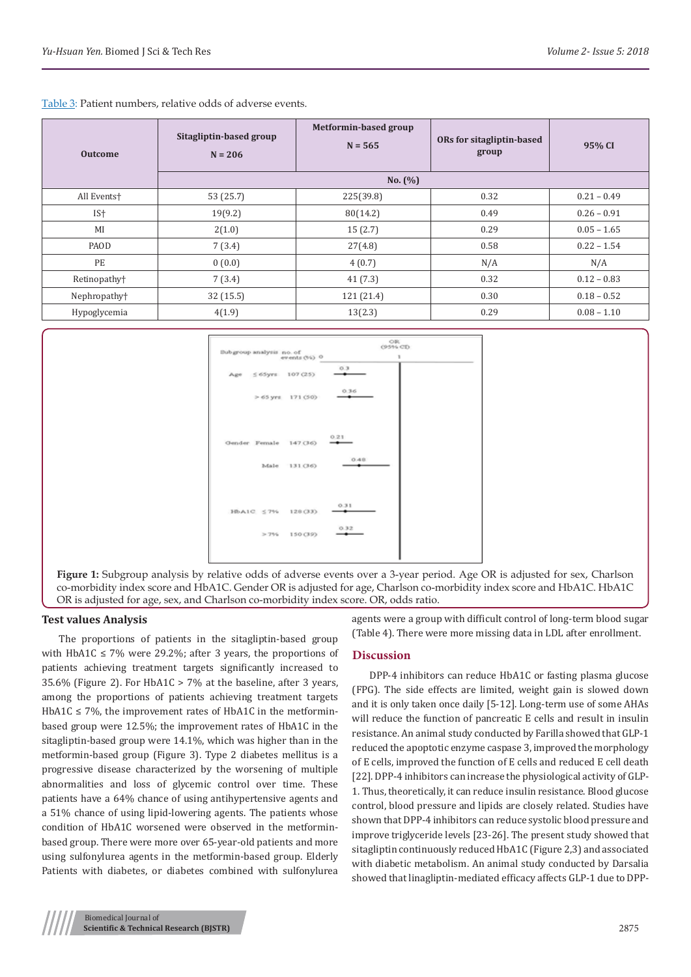| <b>Outcome</b>           | Sitagliptin-based group<br>$N = 206$ | Metformin-based group<br>$N = 565$ | ORs for sitagliptin-based<br>group | 95% CI        |
|--------------------------|--------------------------------------|------------------------------------|------------------------------------|---------------|
|                          |                                      | No. (%)                            |                                    |               |
| All Events <sup>+</sup>  | 53 (25.7)                            | 225(39.8)                          | 0.32                               | $0.21 - 0.49$ |
| IS <sup>+</sup>          | 19(9.2)                              | 80(14.2)                           | 0.49                               | $0.26 - 0.91$ |
| MI                       | 2(1.0)                               | 15(2.7)                            | 0.29                               | $0.05 - 1.65$ |
| PAOD                     | 7(3.4)                               | 27(4.8)                            | 0.58                               | $0.22 - 1.54$ |
| PE                       | 0(0.0)                               | 4(0.7)                             | N/A                                | N/A           |
| Retinopathy <sup>+</sup> | 7(3.4)                               | 41(7.3)                            | 0.32                               | $0.12 - 0.83$ |
| Nephropathy <sup>+</sup> | 32(15.5)                             | 121 (21.4)                         | 0.30                               | $0.18 - 0.52$ |
| Hypoglycemia             | 4(1.9)                               | 13(2.3)                            | 0.29                               | $0.08 - 1.10$ |

Table 3: Patient numbers, relative odds of adverse events.



**Figure 1:** Subgroup analysis by relative odds of adverse events over a 3-year period. Age OR is adjusted for sex, Charlson co-morbidity index score and HbA1C. Gender OR is adjusted for age, Charlson co-morbidity index score and HbA1C. HbA1C OR is adjusted for age, sex, and Charlson co-morbidity index score. OR, odds ratio.

#### **Test values Analysis**

The proportions of patients in the sitagliptin-based group with HbA1C  $\leq$  7% were 29.2%; after 3 years, the proportions of patients achieving treatment targets significantly increased to 35.6% (Figure 2). For HbA1C > 7% at the baseline, after 3 years, among the proportions of patients achieving treatment targets HbA1C  $\leq$  7%, the improvement rates of HbA1C in the metforminbased group were 12.5%; the improvement rates of HbA1C in the sitagliptin-based group were 14.1%, which was higher than in the metformin-based group (Figure 3). Type 2 diabetes mellitus is a progressive disease characterized by the worsening of multiple abnormalities and loss of glycemic control over time. These patients have a 64% chance of using antihypertensive agents and a 51% chance of using lipid-lowering agents. The patients whose condition of HbA1C worsened were observed in the metforminbased group. There were more over 65-year-old patients and more using sulfonylurea agents in the metformin-based group. Elderly Patients with diabetes, or diabetes combined with sulfonylurea

agents were a group with difficult control of long-term blood sugar (Table 4). There were more missing data in LDL after enrollment.

## **Discussion**

DPP-4 inhibitors can reduce HbA1C or fasting plasma glucose (FPG). The side effects are limited, weight gain is slowed down and it is only taken once daily [5-12]. Long-term use of some AHAs will reduce the function of pancreatic E cells and result in insulin resistance. An animal study conducted by Farilla showed that GLP-1 reduced the apoptotic enzyme caspase 3, improved the morphology of E cells, improved the function of E cells and reduced E cell death [22]. DPP-4 inhibitors can increase the physiological activity of GLP-1. Thus, theoretically, it can reduce insulin resistance. Blood glucose control, blood pressure and lipids are closely related. Studies have shown that DPP-4 inhibitors can reduce systolic blood pressure and improve triglyceride levels [23-26]. The present study showed that sitagliptin continuously reduced HbA1C (Figure 2,3) and associated with diabetic metabolism. An animal study conducted by Darsalia showed that linagliptin-mediated efficacy affects GLP-1 due to DPP-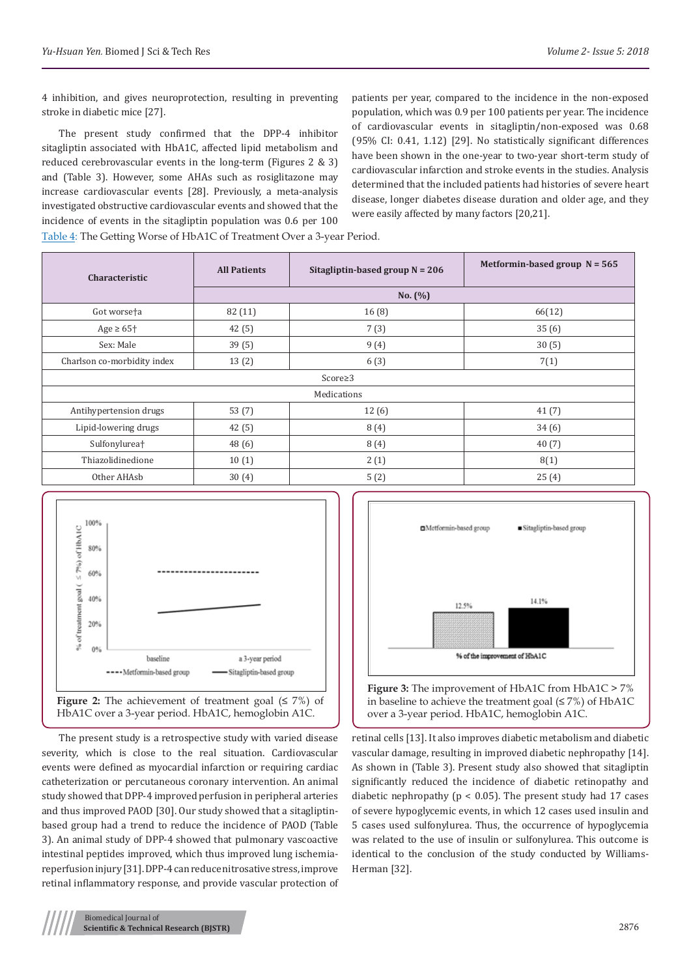4 inhibition, and gives neuroprotection, resulting in preventing stroke in diabetic mice [27].

The present study confirmed that the DPP-4 inhibitor sitagliptin associated with HbA1C, affected lipid metabolism and reduced cerebrovascular events in the long-term (Figures 2 & 3) and (Table 3). However, some AHAs such as rosiglitazone may increase cardiovascular events [28]. Previously, a meta-analysis investigated obstructive cardiovascular events and showed that the incidence of events in the sitagliptin population was 0.6 per 100 patients per year, compared to the incidence in the non-exposed population, which was 0.9 per 100 patients per year. The incidence of cardiovascular events in sitagliptin/non-exposed was 0.68 (95% CI: 0.41, 1.12) [29]. No statistically significant differences have been shown in the one-year to two-year short-term study of cardiovascular infarction and stroke events in the studies. Analysis determined that the included patients had histories of severe heart disease, longer diabetes disease duration and older age, and they were easily affected by many factors [20,21].

Table 4: The Getting Worse of HbA1C of Treatment Over a 3-year Period.

| Characteristic              | <b>All Patients</b> | Sitagliptin-based group $N = 206$ | Metformin-based group $N = 565$ |  |  |  |
|-----------------------------|---------------------|-----------------------------------|---------------------------------|--|--|--|
|                             | No. $(\%)$          |                                   |                                 |  |  |  |
| Got worse <sup>t</sup> a    | 82 (11)             | 16(8)                             | 66(12)                          |  |  |  |
| Age $\geq 65$ <sup>+</sup>  | 42(5)               | 7(3)                              | 35(6)                           |  |  |  |
| Sex: Male                   | 39(5)               | 9(4)                              | 30(5)                           |  |  |  |
| Charlson co-morbidity index | 13(2)               | 6(3)                              | 7(1)                            |  |  |  |
| $Score \geq 3$              |                     |                                   |                                 |  |  |  |
| Medications                 |                     |                                   |                                 |  |  |  |
| Antihypertension drugs      | 53(7)               | 12(6)                             | 41(7)                           |  |  |  |
| Lipid-lowering drugs        | 42(5)               | 8(4)                              | 34(6)                           |  |  |  |
| Sulfonylurea <sup>+</sup>   | 48 (6)              | 8(4)                              | 40(7)                           |  |  |  |
| Thiazolidinedione           | 10(1)               | 2(1)                              | 8(1)                            |  |  |  |
| Other AHAsb                 | 30(4)               | 5(2)                              | 25(4)                           |  |  |  |



The present study is a retrospective study with varied disease severity, which is close to the real situation. Cardiovascular events were defined as myocardial infarction or requiring cardiac catheterization or percutaneous coronary intervention. An animal study showed that DPP-4 improved perfusion in peripheral arteries and thus improved PAOD [30]. Our study showed that a sitagliptinbased group had a trend to reduce the incidence of PAOD (Table 3). An animal study of DPP-4 showed that pulmonary vascoactive intestinal peptides improved, which thus improved lung ischemiareperfusion injury [31]. DPP-4 can reduce nitrosative stress, improve retinal inflammatory response, and provide vascular protection of



in baseline to achieve the treatment goal  $(≤ 7%)$  of HbA1C over a 3-year period. HbA1C, hemoglobin A1C.

retinal cells [13]. It also improves diabetic metabolism and diabetic vascular damage, resulting in improved diabetic nephropathy [14]. As shown in (Table 3). Present study also showed that sitagliptin significantly reduced the incidence of diabetic retinopathy and diabetic nephropathy ( $p < 0.05$ ). The present study had 17 cases of severe hypoglycemic events, in which 12 cases used insulin and 5 cases used sulfonylurea. Thus, the occurrence of hypoglycemia was related to the use of insulin or sulfonylurea. This outcome is identical to the conclusion of the study conducted by Williams-Herman [32].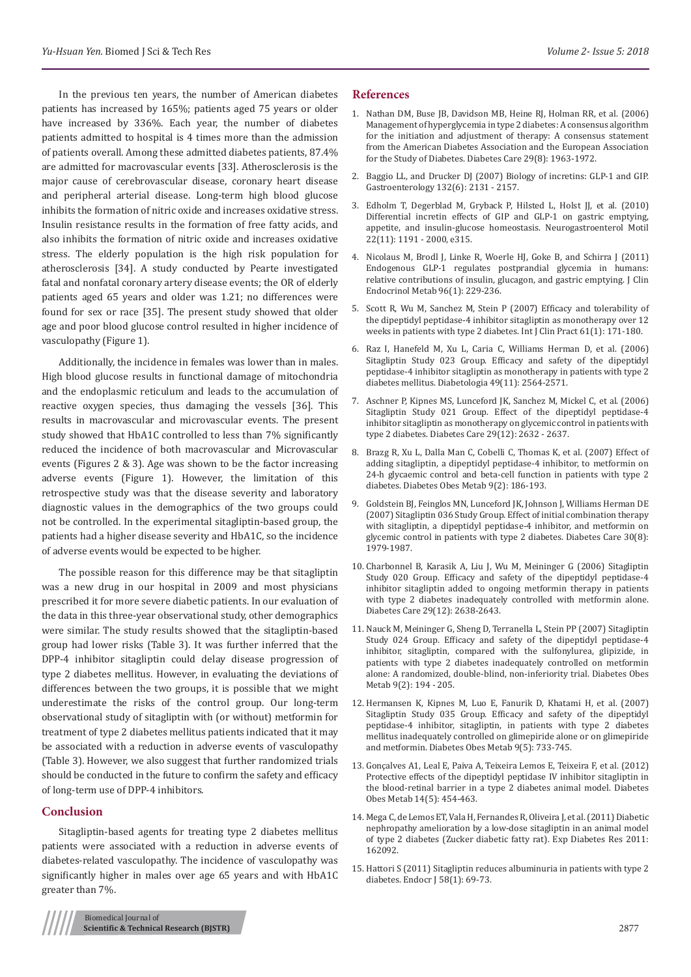In the previous ten years, the number of American diabetes patients has increased by 165%; patients aged 75 years or older have increased by 336%. Each year, the number of diabetes patients admitted to hospital is 4 times more than the admission of patients overall. Among these admitted diabetes patients, 87.4% are admitted for macrovascular events [33]. Atherosclerosis is the major cause of cerebrovascular disease, coronary heart disease and peripheral arterial disease. Long-term high blood glucose inhibits the formation of nitric oxide and increases oxidative stress. Insulin resistance results in the formation of free fatty acids, and also inhibits the formation of nitric oxide and increases oxidative stress. The elderly population is the high risk population for atherosclerosis [34]. A study conducted by Pearte investigated fatal and nonfatal coronary artery disease events; the OR of elderly patients aged 65 years and older was 1.21; no differences were found for sex or race [35]. The present study showed that older age and poor blood glucose control resulted in higher incidence of vasculopathy (Figure 1).

Additionally, the incidence in females was lower than in males. High blood glucose results in functional damage of mitochondria and the endoplasmic reticulum and leads to the accumulation of reactive oxygen species, thus damaging the vessels [36]. This results in macrovascular and microvascular events. The present study showed that HbA1C controlled to less than 7% significantly reduced the incidence of both macrovascular and Microvascular events (Figures 2 & 3). Age was shown to be the factor increasing adverse events (Figure 1). However, the limitation of this retrospective study was that the disease severity and laboratory diagnostic values in the demographics of the two groups could not be controlled. In the experimental sitagliptin-based group, the patients had a higher disease severity and HbA1C, so the incidence of adverse events would be expected to be higher.

The possible reason for this difference may be that sitagliptin was a new drug in our hospital in 2009 and most physicians prescribed it for more severe diabetic patients. In our evaluation of the data in this three-year observational study, other demographics were similar. The study results showed that the sitagliptin-based group had lower risks (Table 3). It was further inferred that the DPP-4 inhibitor sitagliptin could delay disease progression of type 2 diabetes mellitus. However, in evaluating the deviations of differences between the two groups, it is possible that we might underestimate the risks of the control group. Our long-term observational study of sitagliptin with (or without) metformin for treatment of type 2 diabetes mellitus patients indicated that it may be associated with a reduction in adverse events of vasculopathy (Table 3). However, we also suggest that further randomized trials should be conducted in the future to confirm the safety and efficacy of long-term use of DPP-4 inhibitors.

#### **Conclusion**

Sitagliptin-based agents for treating type 2 diabetes mellitus patients were associated with a reduction in adverse events of diabetes-related vasculopathy. The incidence of vasculopathy was significantly higher in males over age 65 years and with HbA1C greater than 7%.

#### **References**

- 1. [Nathan DM, Buse JB, Davidson MB, Heine RJ, Holman RR, et al. \(2006\)](https://www.ncbi.nlm.nih.gov/pubmed/16873813) [Management of hyperglycemia in type 2 diabetes: A consensus algorithm](https://www.ncbi.nlm.nih.gov/pubmed/16873813) [for the initiation and adjustment of therapy: A consensus statement](https://www.ncbi.nlm.nih.gov/pubmed/16873813) [from the American Diabetes Association and the European Association](https://www.ncbi.nlm.nih.gov/pubmed/16873813) [for the Study of Diabetes. Diabetes Care 29\(8\): 1963-1972.](https://www.ncbi.nlm.nih.gov/pubmed/16873813)
- 2. [Baggio LL, and Drucker DJ \(2007\) Biology of incretins: GLP-1 and GIP.](https://www.ncbi.nlm.nih.gov/pubmed/17498508) [Gastroenterology 132\(6\): 2131 - 2157.](https://www.ncbi.nlm.nih.gov/pubmed/17498508)
- 3. [Edholm T, Degerblad M, Gryback P, Hilsted L, Holst JJ, et al. \(2010\)](https://www.ncbi.nlm.nih.gov/pubmed/20584260) [Differential incretin effects of GIP and GLP-1 on gastric emptying,](https://www.ncbi.nlm.nih.gov/pubmed/20584260) [appetite, and insulin-glucose homeostasis. Neurogastroenterol Motil](https://www.ncbi.nlm.nih.gov/pubmed/20584260) [22\(11\): 1191 - 2000, e315.](https://www.ncbi.nlm.nih.gov/pubmed/20584260)
- 4. [Nicolaus M, Brodl J, Linke R, Woerle HJ, Goke B, and Schirra J \(2011\)](https://www.ncbi.nlm.nih.gov/pubmed/21047924) [Endogenous GLP-1 regulates postprandial glycemia in humans:](https://www.ncbi.nlm.nih.gov/pubmed/21047924) [relative contributions of insulin, glucagon, and gastric emptying. J Clin](https://www.ncbi.nlm.nih.gov/pubmed/21047924) [Endocrinol Metab 96\(1\): 229-236.](https://www.ncbi.nlm.nih.gov/pubmed/21047924)
- 5. [Scott R, Wu M, Sanchez M, Stein P \(2007\) Efficacy and tolerability of](https://www.ncbi.nlm.nih.gov/pubmed/17156104) [the dipeptidyl peptidase-4 inhibitor sitagliptin as monotherapy over 12](https://www.ncbi.nlm.nih.gov/pubmed/17156104) [weeks in patients with type 2 diabetes. Int J Clin Pract 61\(1\): 171-180.](https://www.ncbi.nlm.nih.gov/pubmed/17156104)
- 6. [Raz I, Hanefeld M, Xu L, Caria C, Williams Herman D, et al. \(2006\)](https://www.ncbi.nlm.nih.gov/pubmed/17001471) [Sitagliptin Study 023 Group. Efficacy and safety of the dipeptidyl](https://www.ncbi.nlm.nih.gov/pubmed/17001471) [peptidase-4 inhibitor sitagliptin as monotherapy in patients with type 2](https://www.ncbi.nlm.nih.gov/pubmed/17001471) [diabetes mellitus. Diabetologia 49\(11\): 2564-2571.](https://www.ncbi.nlm.nih.gov/pubmed/17001471)
- 7. [Aschner P, Kipnes MS, Lunceford JK, Sanchez M, Mickel C, et al. \(2006\)](https://www.ncbi.nlm.nih.gov/pubmed/17130196) [Sitagliptin Study 021 Group. Effect of the dipeptidyl peptidase-4](https://www.ncbi.nlm.nih.gov/pubmed/17130196) [inhibitor sitagliptin as monotherapy on glycemic control in patients with](https://www.ncbi.nlm.nih.gov/pubmed/17130196) [type 2 diabetes. Diabetes Care 29\(12\): 2632 - 2637.](https://www.ncbi.nlm.nih.gov/pubmed/17130196)
- 8. [Brazg R, Xu L, Dalla Man C, Cobelli C, Thomas K, et al. \(2007\) Effect of](https://www.ncbi.nlm.nih.gov/pubmed/17300594) [adding sitagliptin, a dipeptidyl peptidase-4 inhibitor, to metformin on](https://www.ncbi.nlm.nih.gov/pubmed/17300594) [24-h glycaemic control and beta-cell function in patients with type 2](https://www.ncbi.nlm.nih.gov/pubmed/17300594) [diabetes. Diabetes Obes Metab 9\(2\): 186-193.](https://www.ncbi.nlm.nih.gov/pubmed/17300594)
- 9. [Goldstein BJ, Feinglos MN, Lunceford JK, Johnson J, Williams Herman DE](https://www.ncbi.nlm.nih.gov/pubmed/17485570) [\(2007\) Sitagliptin 036 Study Group. Effect of initial combination therapy](https://www.ncbi.nlm.nih.gov/pubmed/17485570) [with sitagliptin, a dipeptidyl peptidase-4 inhibitor, and metformin on](https://www.ncbi.nlm.nih.gov/pubmed/17485570) [glycemic control in patients with type 2 diabetes. Diabetes Care 30\(8\):](https://www.ncbi.nlm.nih.gov/pubmed/17485570) [1979-1987.](https://www.ncbi.nlm.nih.gov/pubmed/17485570)
- 10. [Charbonnel B, Karasik A, Liu J, Wu M, Meininger G \(2006\) Sitagliptin](https://www.ncbi.nlm.nih.gov/pubmed/17130197) [Study 020 Group. Efficacy and safety of the dipeptidyl peptidase-4](https://www.ncbi.nlm.nih.gov/pubmed/17130197) [inhibitor sitagliptin added to ongoing metformin therapy in patients](https://www.ncbi.nlm.nih.gov/pubmed/17130197) [with type 2 diabetes inadequately controlled with metformin alone.](https://www.ncbi.nlm.nih.gov/pubmed/17130197) [Diabetes Care 29\(12\): 2638-2643.](https://www.ncbi.nlm.nih.gov/pubmed/17130197)
- 11. [Nauck M, Meininger G, Sheng D, Terranella L, Stein PP \(2007\) Sitagliptin](https://www.ncbi.nlm.nih.gov/pubmed/17300595) [Study 024 Group. Efficacy and safety of the dipeptidyl peptidase-4](https://www.ncbi.nlm.nih.gov/pubmed/17300595) [inhibitor, sitagliptin, compared with the sulfonylurea, glipizide, in](https://www.ncbi.nlm.nih.gov/pubmed/17300595) [patients with type 2 diabetes inadequately controlled on metformin](https://www.ncbi.nlm.nih.gov/pubmed/17300595) [alone: A randomized, double-blind, non-inferiority trial. Diabetes Obes](https://www.ncbi.nlm.nih.gov/pubmed/17300595) [Metab 9\(2\): 194 - 205.](https://www.ncbi.nlm.nih.gov/pubmed/17300595)
- 12. [Hermansen K, Kipnes M, Luo E, Fanurik D, Khatami H, et al. \(2007\)](https://www.ncbi.nlm.nih.gov/pubmed/17593236) [Sitagliptin Study 035 Group. Efficacy and safety of the dipeptidyl](https://www.ncbi.nlm.nih.gov/pubmed/17593236) [peptidase-4 inhibitor, sitagliptin, in patients with type 2 diabetes](https://www.ncbi.nlm.nih.gov/pubmed/17593236) [mellitus inadequately controlled on glimepiride alone or on glimepiride](https://www.ncbi.nlm.nih.gov/pubmed/17593236) [and metformin. Diabetes Obes Metab 9\(5\): 733-745.](https://www.ncbi.nlm.nih.gov/pubmed/17593236)
- 13. [Gonçalves A1, Leal E, Paiva A, Teixeira Lemos E, Teixeira F, et al. \(2012\)](https://www.ncbi.nlm.nih.gov/pubmed/22151893) [Protective effects of the dipeptidyl peptidase IV inhibitor sitagliptin in](https://www.ncbi.nlm.nih.gov/pubmed/22151893) [the blood-retinal barrier in a type 2 diabetes animal model. Diabetes](https://www.ncbi.nlm.nih.gov/pubmed/22151893) [Obes Metab 14\(5\): 454-463.](https://www.ncbi.nlm.nih.gov/pubmed/22151893)
- 14. [Mega C, de Lemos ET, Vala H, Fernandes R, Oliveira J, et al. \(2011\) Diabetic](https://www.ncbi.nlm.nih.gov/pubmed/22203828) [nephropathy amelioration by a low-dose sitagliptin in an animal model](https://www.ncbi.nlm.nih.gov/pubmed/22203828) [of type 2 diabetes \(Zucker diabetic fatty rat\). Exp Diabetes Res 2011:](https://www.ncbi.nlm.nih.gov/pubmed/22203828) [162092.](https://www.ncbi.nlm.nih.gov/pubmed/22203828)
- 15. [Hattori S \(2011\) Sitagliptin reduces albuminuria in patients with type 2](https://www.ncbi.nlm.nih.gov/pubmed/21206136) [diabetes. Endocr J 58\(1\): 69-73.](https://www.ncbi.nlm.nih.gov/pubmed/21206136)